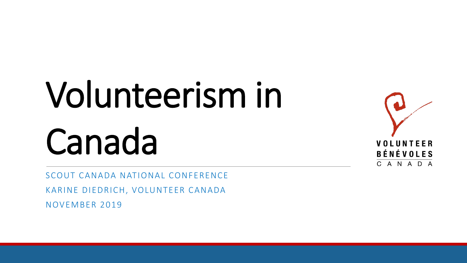# Volunteerism in Canada

SCOUT CANADA NATIONAL CONFERENCE KARINE DIEDRICH, VOLUNTEER CANADA NOVEMBER 2019

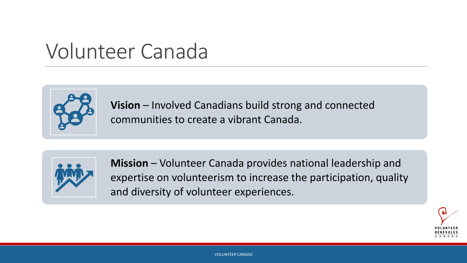#### Volunteer Canada



**Vision** – Involved Canadians build strong and connected communities to create a vibrant Canada.



**Mission** – Volunteer Canada provides national leadership and expertise on volunteerism to increase the participation, quality and diversity of volunteer experiences.

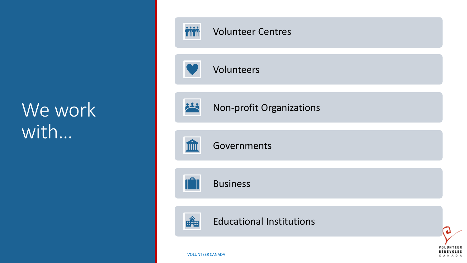#### We work with…



CANADA

VOLUNTEER CANADA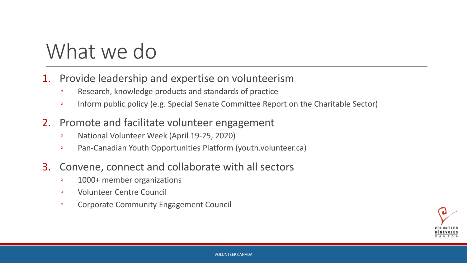#### What we do

- 1. Provide leadership and expertise on volunteerism
	- Research, knowledge products and standards of practice
	- Inform public policy (e.g. Special Senate Committee Report on the Charitable Sector)
- 2. Promote and facilitate volunteer engagement
	- National Volunteer Week (April 19-25, 2020)
	- Pan-Canadian Youth Opportunities Platform (youth.volunteer.ca)
- 3. Convene, connect and collaborate with all sectors
	- 1000+ member organizations
	- Volunteer Centre Council
	- Corporate Community Engagement Council

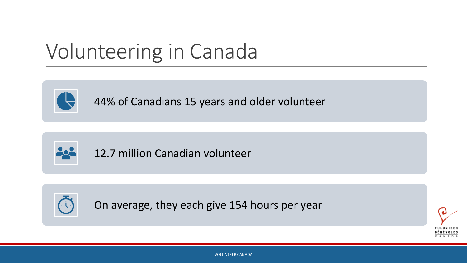#### Volunteering in Canada



44% of Canadians 15 years and older volunteer



12.7 million Canadian volunteer



On average, they each give 154 hours per year



VOLUNTEER CANADA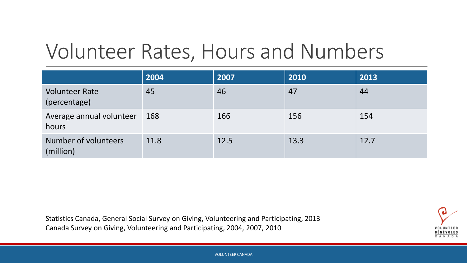#### Volunteer Rates, Hours and Numbers

|                                       | 2004 | 2007 | 2010 | 2013 |
|---------------------------------------|------|------|------|------|
| <b>Volunteer Rate</b><br>(percentage) | 45   | 46   | 47   | 44   |
| Average annual volunteer<br>hours     | 168  | 166  | 156  | 154  |
| Number of volunteers<br>(million)     | 11.8 | 12.5 | 13.3 | 12.7 |

Statistics Canada, General Social Survey on Giving, Volunteering and Participating, 2013 Canada Survey on Giving, Volunteering and Participating, 2004, 2007, 2010

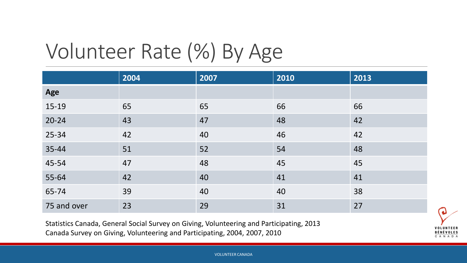## Volunteer Rate (%) By Age

|             | 2004 | 2007 | 2010 | 2013 |
|-------------|------|------|------|------|
| Age         |      |      |      |      |
| 15-19       | 65   | 65   | 66   | 66   |
| $20 - 24$   | 43   | 47   | 48   | 42   |
| 25-34       | 42   | 40   | 46   | 42   |
| 35-44       | 51   | 52   | 54   | 48   |
| 45-54       | 47   | 48   | 45   | 45   |
| 55-64       | 42   | 40   | 41   | 41   |
| 65-74       | 39   | 40   | 40   | 38   |
| 75 and over | 23   | 29   | 31   | 27   |

Statistics Canada, General Social Survey on Giving, Volunteering and Participating, 2013 Canada Survey on Giving, Volunteering and Participating, 2004, 2007, 2010

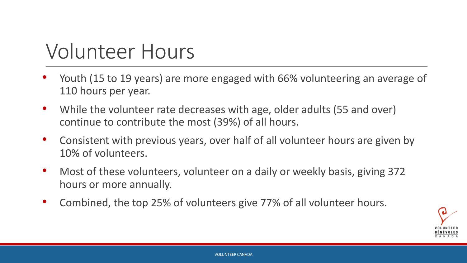#### Volunteer Hours

- Youth (15 to 19 years) are more engaged with 66% volunteering an average of 110 hours per year.
- While the volunteer rate decreases with age, older adults (55 and over) continue to contribute the most (39%) of all hours.
- Consistent with previous years, over half of all volunteer hours are given by 10% of volunteers.
- Most of these volunteers, volunteer on a daily or weekly basis, giving 372 hours or more annually.
- Combined, the top 25% of volunteers give 77% of all volunteer hours.

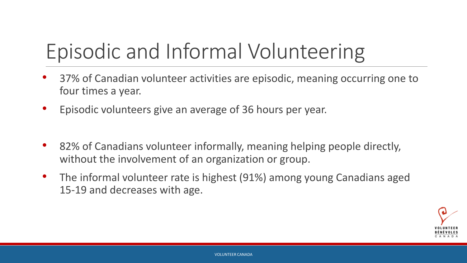## Episodic and Informal Volunteering

- 37% of Canadian volunteer activities are episodic, meaning occurring one to four times a year.
- Episodic volunteers give an average of 36 hours per year.
- 82% of Canadians volunteer informally, meaning helping people directly, without the involvement of an organization or group.
- The informal volunteer rate is highest (91%) among young Canadians aged 15-19 and decreases with age.

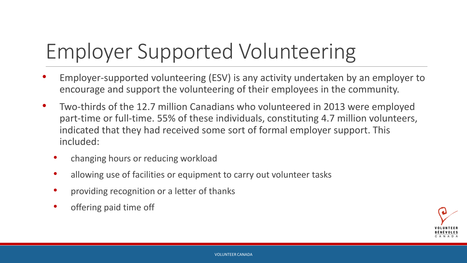## Employer Supported Volunteering

- Employer-supported volunteering (ESV) is any activity undertaken by an employer to encourage and support the volunteering of their employees in the community.
- Two-thirds of the 12.7 million Canadians who volunteered in 2013 were employed part-time or full-time. 55% of these individuals, constituting 4.7 million volunteers, indicated that they had received some sort of formal employer support. This included:
	- changing hours or reducing workload
	- allowing use of facilities or equipment to carry out volunteer tasks
	- providing recognition or a letter of thanks
	- offering paid time off

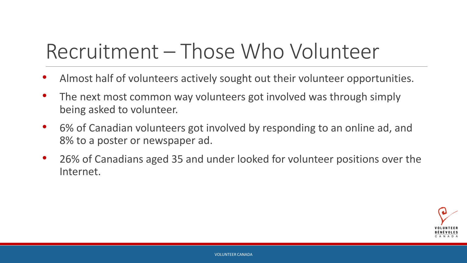#### Recruitment – Those Who Volunteer

- Almost half of volunteers actively sought out their volunteer opportunities.
- The next most common way volunteers got involved was through simply being asked to volunteer.
- 6% of Canadian volunteers got involved by responding to an online ad, and 8% to a poster or newspaper ad.
- 26% of Canadians aged 35 and under looked for volunteer positions over the Internet.

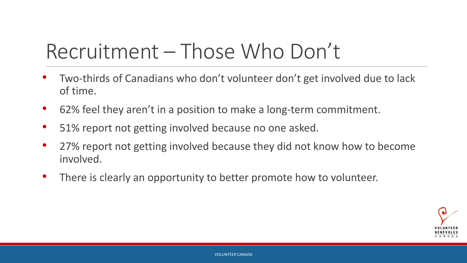#### Recruitment – Those Who Don't

- Two-thirds of Canadians who don't volunteer don't get involved due to lack of time.
- 62% feel they aren't in a position to make a long-term commitment.
- 51% report not getting involved because no one asked.
- 27% report not getting involved because they did not know how to become involved.
- There is clearly an opportunity to better promote how to volunteer.

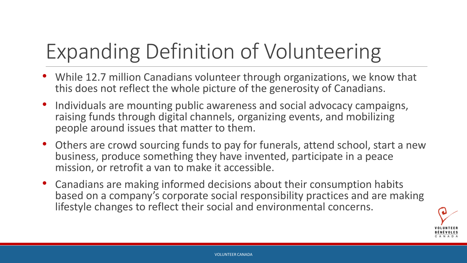## Expanding Definition of Volunteering

- While 12.7 million Canadians volunteer through organizations, we know that this does not reflect the whole picture of the generosity of Canadians.
- Individuals are mounting public awareness and social advocacy campaigns, raising funds through digital channels, organizing events, and mobilizing people around issues that matter to them.
- Others are crowd sourcing funds to pay for funerals, attend school, start a new business, produce something they have invented, participate in a peace mission, or retrofit a van to make it accessible.
- Canadians are making informed decisions about their consumption habits based on a company's corporate social responsibility practices and are making lifestyle changes to reflect their social and environmental concerns.

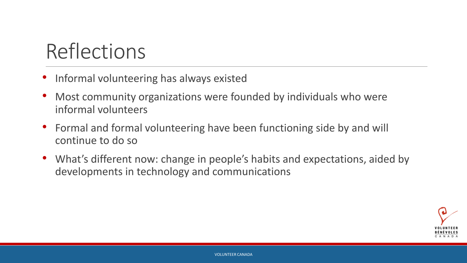#### Reflections

- Informal volunteering has always existed
- Most community organizations were founded by individuals who were informal volunteers
- Formal and formal volunteering have been functioning side by and will continue to do so
- What's different now: change in people's habits and expectations, aided by developments in technology and communications

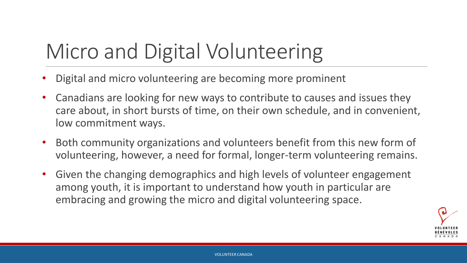## Micro and Digital Volunteering

- Digital and micro volunteering are becoming more prominent
- Canadians are looking for new ways to contribute to causes and issues they care about, in short bursts of time, on their own schedule, and in convenient, low commitment ways.
- Both community organizations and volunteers benefit from this new form of volunteering, however, a need for formal, longer-term volunteering remains.
- Given the changing demographics and high levels of volunteer engagement among youth, it is important to understand how youth in particular are embracing and growing the micro and digital volunteering space.

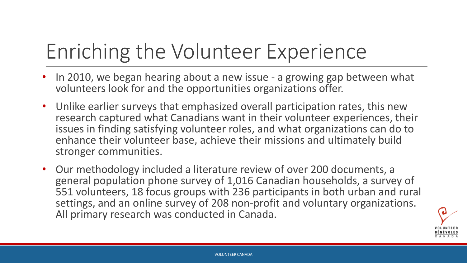## Enriching the Volunteer Experience

- In 2010, we began hearing about a new issue a growing gap between what volunteers look for and the opportunities organizations offer.
- Unlike earlier surveys that emphasized overall participation rates, this new research captured what Canadians want in their volunteer experiences, their issues in finding satisfying volunteer roles, and what organizations can do to enhance their volunteer base, achieve their missions and ultimately build stronger communities.
- Our methodology included a literature review of over 200 documents, a general population phone survey of 1,016 Canadian households, a survey of 551 volunteers, 18 focus groups with 236 participants in both urban and rural settings, and an online survey of 208 non-profit and voluntary organizations. All primary research was conducted in Canada.

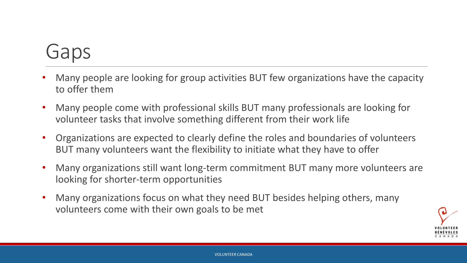#### Gaps

- Many people are looking for group activities BUT few organizations have the capacity to offer them
- Many people come with professional skills BUT many professionals are looking for volunteer tasks that involve something different from their work life
- Organizations are expected to clearly define the roles and boundaries of volunteers BUT many volunteers want the flexibility to initiate what they have to offer
- Many organizations still want long-term commitment BUT many more volunteers are looking for shorter-term opportunities
- Many organizations focus on what they need BUT besides helping others, many volunteers come with their own goals to be met

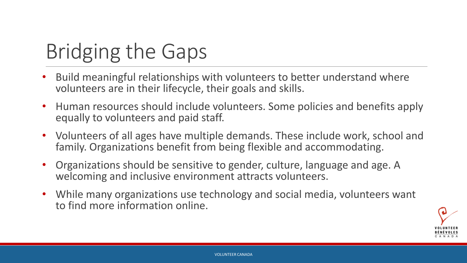## Bridging the Gaps

- Build meaningful relationships with volunteers to better understand where volunteers are in their lifecycle, their goals and skills.
- Human resources should include volunteers. Some policies and benefits apply equally to volunteers and paid staff.
- Volunteers of all ages have multiple demands. These include work, school and family. Organizations benefit from being flexible and accommodating.
- Organizations should be sensitive to gender, culture, language and age. A welcoming and inclusive environment attracts volunteers.
- While many organizations use technology and social media, volunteers want to find more information online.

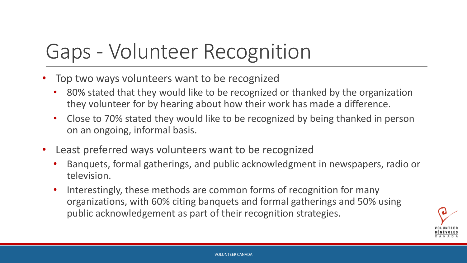#### Gaps - Volunteer Recognition

- Top two ways volunteers want to be recognized
	- 80% stated that they would like to be recognized or thanked by the organization they volunteer for by hearing about how their work has made a difference.
	- Close to 70% stated they would like to be recognized by being thanked in person on an ongoing, informal basis.
- Least preferred ways volunteers want to be recognized
	- Banquets, formal gatherings, and public acknowledgment in newspapers, radio or television.
	- Interestingly, these methods are common forms of recognition for many organizations, with 60% citing banquets and formal gatherings and 50% using public acknowledgement as part of their recognition strategies.

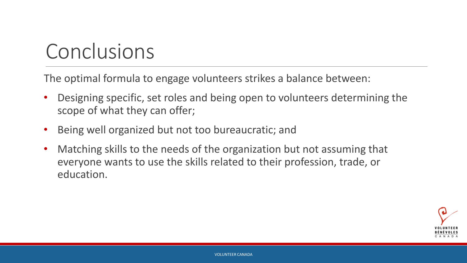#### Conclusions

The optimal formula to engage volunteers strikes a balance between:

- Designing specific, set roles and being open to volunteers determining the scope of what they can offer;
- Being well organized but not too bureaucratic; and
- Matching skills to the needs of the organization but not assuming that everyone wants to use the skills related to their profession, trade, or education.